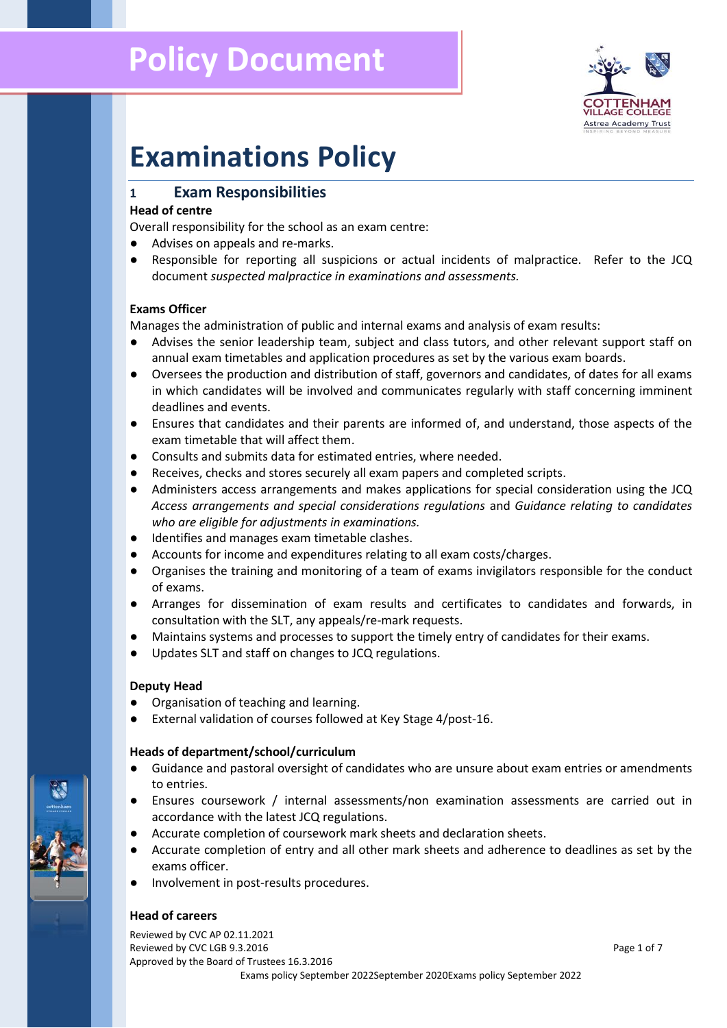# **Policy Document**



# **Examinations Policy**

# **1 Exam Responsibilities**

## **Head of centre**

Overall responsibility for the school as an exam centre:

- Advises on appeals and re-marks.
- Responsible for reporting all suspicions or actual incidents of malpractice. Refer to the JCQ document *suspected malpractice in examinations and assessments.*

## **Exams Officer**

Manages the administration of public and internal exams and analysis of exam results:

- Advises the senior leadership team, subject and class tutors, and other relevant support staff on annual exam timetables and application procedures as set by the various exam boards.
- Oversees the production and distribution of staff, governors and candidates, of dates for all exams in which candidates will be involved and communicates regularly with staff concerning imminent deadlines and events.
- Ensures that candidates and their parents are informed of, and understand, those aspects of the exam timetable that will affect them.
- Consults and submits data for estimated entries, where needed.
- Receives, checks and stores securely all exam papers and completed scripts.
- Administers access arrangements and makes applications for special consideration using the JCQ *Access arrangements and special considerations regulations* and *Guidance relating to candidates who are eligible for adjustments in examinations.*
- Identifies and manages exam timetable clashes.
- Accounts for income and expenditures relating to all exam costs/charges.
- Organises the training and monitoring of a team of exams invigilators responsible for the conduct of exams.
- Arranges for dissemination of exam results and certificates to candidates and forwards, in consultation with the SLT, any appeals/re-mark requests.
- Maintains systems and processes to support the timely entry of candidates for their exams.
- Updates SLT and staff on changes to JCQ regulations.

## **Deputy Head**

- Organisation of teaching and learning.
- External validation of courses followed at Key Stage 4/post-16.

## **Heads of department/school/curriculum**

- Guidance and pastoral oversight of candidates who are unsure about exam entries or amendments to entries.
- Ensures coursework / internal assessments/non examination assessments are carried out in accordance with the latest JCQ regulations.
- Accurate completion of coursework mark sheets and declaration sheets.
- Accurate completion of entry and all other mark sheets and adherence to deadlines as set by the exams officer.
- Involvement in post-results procedures.

## **Head of careers**

Reviewed by CVC AP 02.11.2021 Reviewed by CVC LGB 9.3.2016 Page 1 of 7 Approved by the Board of Trustees 16.3.2016 Exams policy September 2022September 2020Exams policy September 2022

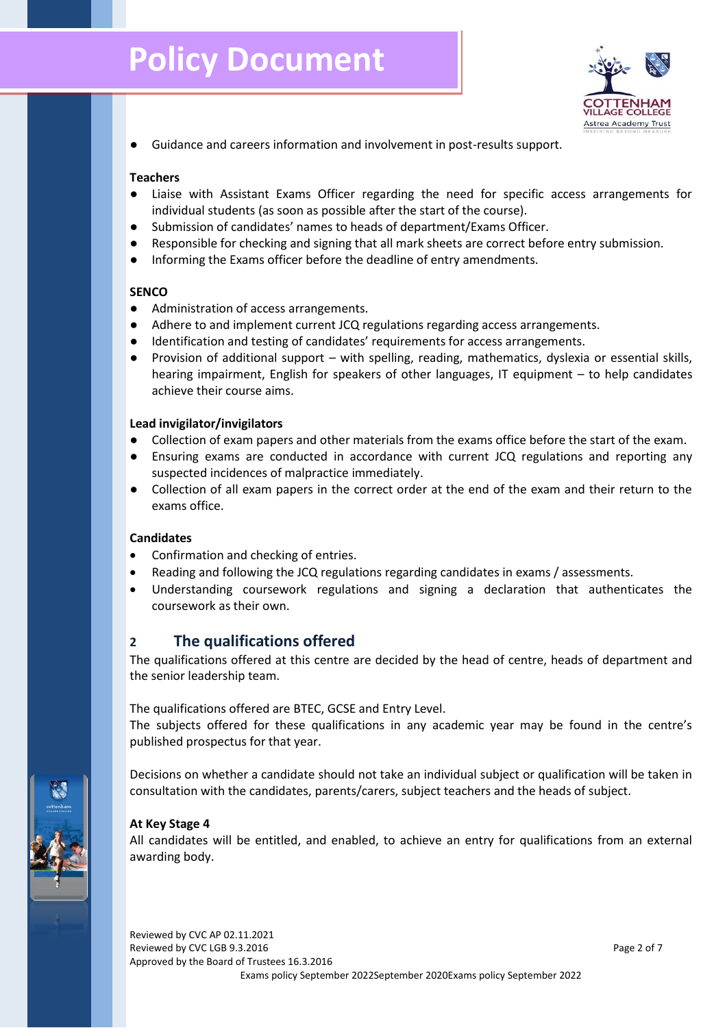# **Policy Document**



● Guidance and careers information and involvement in post-results support.

#### **Teachers**

- Liaise with Assistant Exams Officer regarding the need for specific access arrangements for individual students (as soon as possible after the start of the course).
- Submission of candidates' names to heads of department/Exams Officer.
- Responsible for checking and signing that all mark sheets are correct before entry submission.
- Informing the Exams officer before the deadline of entry amendments.

#### **SENCO**

- Administration of access arrangements.
- Adhere to and implement current JCQ regulations regarding access arrangements.
- Identification and testing of candidates' requirements for access arrangements.
- Provision of additional support with spelling, reading, mathematics, dyslexia or essential skills, hearing impairment, English for speakers of other languages, IT equipment – to help candidates achieve their course aims.

#### **Lead invigilator/invigilators**

- Collection of exam papers and other materials from the exams office before the start of the exam.
- Ensuring exams are conducted in accordance with current JCQ regulations and reporting any suspected incidences of malpractice immediately.
- Collection of all exam papers in the correct order at the end of the exam and their return to the exams office.

## **Candidates**

- Confirmation and checking of entries.
- Reading and following the JCQ regulations regarding candidates in exams / assessments.
- Understanding coursework regulations and signing a declaration that authenticates the coursework as their own.

## **2 The qualifications offered**

The qualifications offered at this centre are decided by the head of centre, heads of department and the senior leadership team.

The qualifications offered are BTEC, GCSE and Entry Level.

The subjects offered for these qualifications in any academic year may be found in the centre's published prospectus for that year.

Decisions on whether a candidate should not take an individual subject or qualification will be taken in consultation with the candidates, parents/carers, subject teachers and the heads of subject.

## **At Key Stage 4**

All candidates will be entitled, and enabled, to achieve an entry for qualifications from an external awarding body.

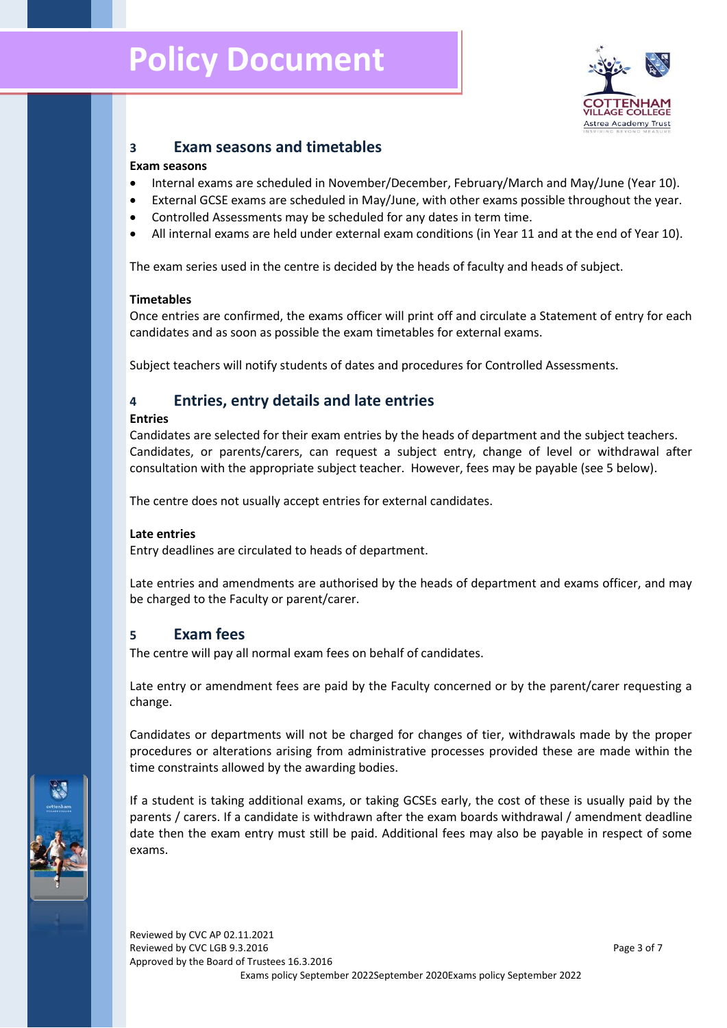# **Policy Document**



## **3 Exam seasons and timetables**

### **Exam seasons**

- Internal exams are scheduled in November/December, February/March and May/June (Year 10).
- External GCSE exams are scheduled in May/June, with other exams possible throughout the year.
- Controlled Assessments may be scheduled for any dates in term time.
- All internal exams are held under external exam conditions (in Year 11 and at the end of Year 10).

The exam series used in the centre is decided by the heads of faculty and heads of subject.

#### **Timetables**

Once entries are confirmed, the exams officer will print off and circulate a Statement of entry for each candidates and as soon as possible the exam timetables for external exams.

Subject teachers will notify students of dates and procedures for Controlled Assessments.

# **4 Entries, entry details and late entries**

#### **Entries**

Candidates are selected for their exam entries by the heads of department and the subject teachers. Candidates, or parents/carers, can request a subject entry, change of level or withdrawal after consultation with the appropriate subject teacher. However, fees may be payable (see 5 below).

The centre does not usually accept entries for external candidates.

## **Late entries**

Entry deadlines are circulated to heads of department.

Late entries and amendments are authorised by the heads of department and exams officer, and may be charged to the Faculty or parent/carer.

## **5 Exam fees**

The centre will pay all normal exam fees on behalf of candidates.

Late entry or amendment fees are paid by the Faculty concerned or by the parent/carer requesting a change.

Candidates or departments will not be charged for changes of tier, withdrawals made by the proper procedures or alterations arising from administrative processes provided these are made within the time constraints allowed by the awarding bodies.

If a student is taking additional exams, or taking GCSEs early, the cost of these is usually paid by the parents / carers. If a candidate is withdrawn after the exam boards withdrawal / amendment deadline date then the exam entry must still be paid. Additional fees may also be payable in respect of some exams.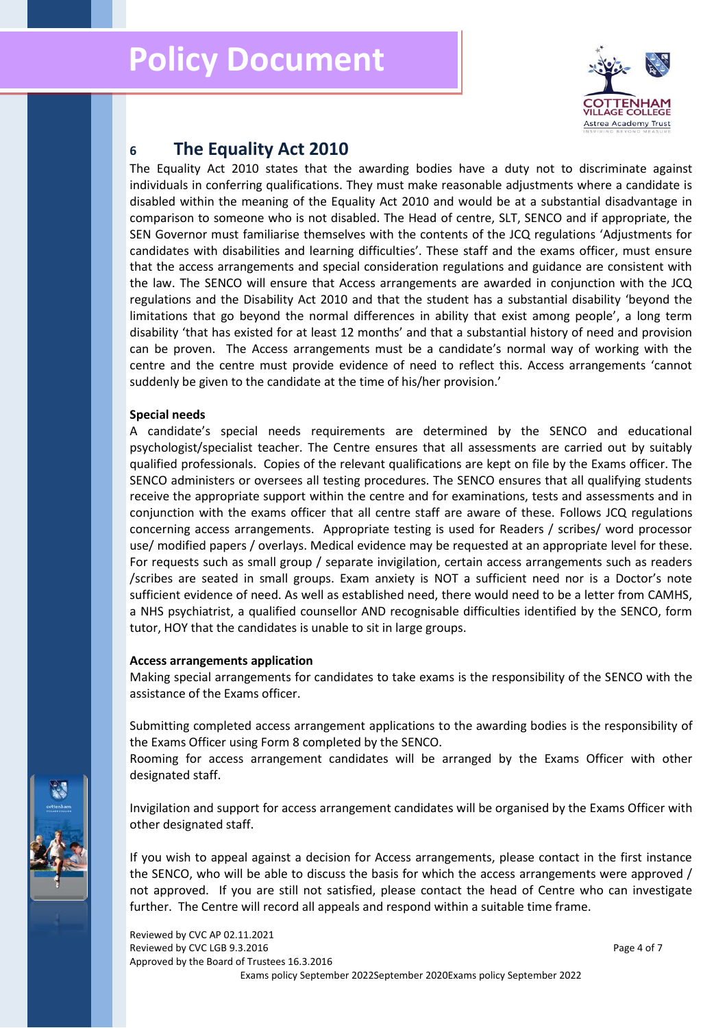

# **<sup>6</sup> The Equality Act 2010**

The Equality Act 2010 states that the awarding bodies have a duty not to discriminate against individuals in conferring qualifications. They must make reasonable adjustments where a candidate is disabled within the meaning of the Equality Act 2010 and would be at a substantial disadvantage in comparison to someone who is not disabled. The Head of centre, SLT, SENCO and if appropriate, the SEN Governor must familiarise themselves with the contents of the JCQ regulations 'Adjustments for candidates with disabilities and learning difficulties'. These staff and the exams officer, must ensure that the access arrangements and special consideration regulations and guidance are consistent with the law. The SENCO will ensure that Access arrangements are awarded in conjunction with the JCQ regulations and the Disability Act 2010 and that the student has a substantial disability 'beyond the limitations that go beyond the normal differences in ability that exist among people', a long term disability 'that has existed for at least 12 months' and that a substantial history of need and provision can be proven. The Access arrangements must be a candidate's normal way of working with the centre and the centre must provide evidence of need to reflect this. Access arrangements 'cannot suddenly be given to the candidate at the time of his/her provision.'

#### **Special needs**

A candidate's special needs requirements are determined by the SENCO and educational psychologist/specialist teacher. The Centre ensures that all assessments are carried out by suitably qualified professionals. Copies of the relevant qualifications are kept on file by the Exams officer. The SENCO administers or oversees all testing procedures. The SENCO ensures that all qualifying students receive the appropriate support within the centre and for examinations, tests and assessments and in conjunction with the exams officer that all centre staff are aware of these. Follows JCQ regulations concerning access arrangements. Appropriate testing is used for Readers / scribes/ word processor use/ modified papers / overlays. Medical evidence may be requested at an appropriate level for these. For requests such as small group / separate invigilation, certain access arrangements such as readers /scribes are seated in small groups. Exam anxiety is NOT a sufficient need nor is a Doctor's note sufficient evidence of need. As well as established need, there would need to be a letter from CAMHS, a NHS psychiatrist, a qualified counsellor AND recognisable difficulties identified by the SENCO, form tutor, HOY that the candidates is unable to sit in large groups.

## **Access arrangements application**

Making special arrangements for candidates to take exams is the responsibility of the SENCO with the assistance of the Exams officer.

Submitting completed access arrangement applications to the awarding bodies is the responsibility of the Exams Officer using Form 8 completed by the SENCO.

Rooming for access arrangement candidates will be arranged by the Exams Officer with other designated staff.

Invigilation and support for access arrangement candidates will be organised by the Exams Officer with other designated staff.

If you wish to appeal against a decision for Access arrangements, please contact in the first instance the SENCO, who will be able to discuss the basis for which the access arrangements were approved / not approved. If you are still not satisfied, please contact the head of Centre who can investigate further. The Centre will record all appeals and respond within a suitable time frame.

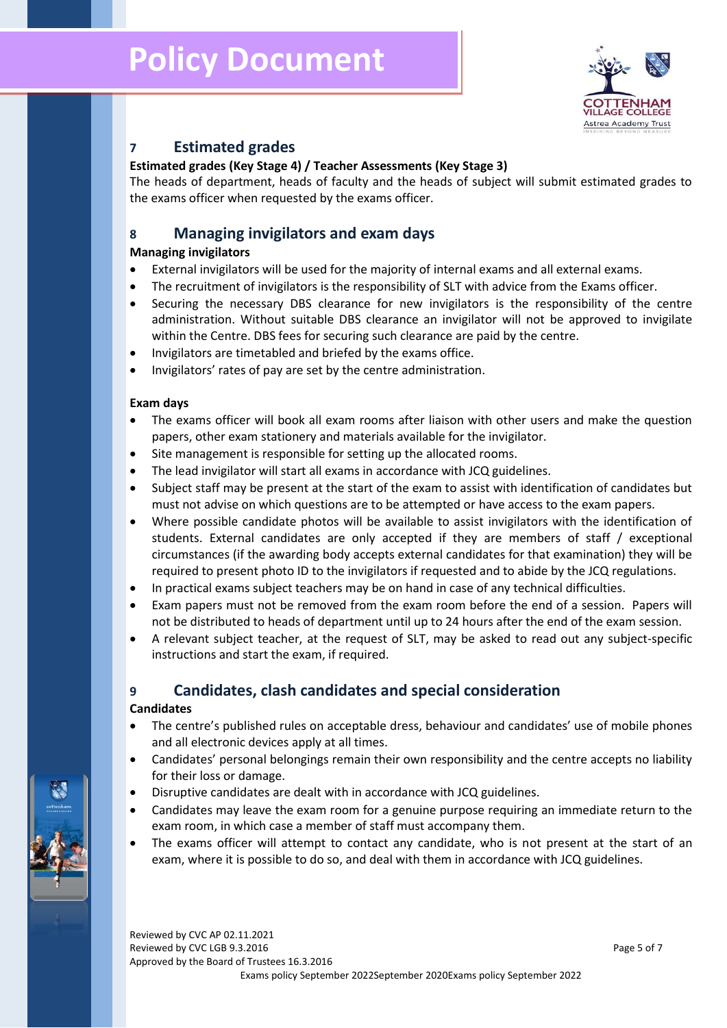

## **7 Estimated grades**

## **Estimated grades (Key Stage 4) / Teacher Assessments (Key Stage 3)**

The heads of department, heads of faculty and the heads of subject will submit estimated grades to the exams officer when requested by the exams officer.

## **8 Managing invigilators and exam days**

## **Managing invigilators**

- External invigilators will be used for the majority of internal exams and all external exams.
- The recruitment of invigilators is the responsibility of SLT with advice from the Exams officer.
- Securing the necessary DBS clearance for new invigilators is the responsibility of the centre administration. Without suitable DBS clearance an invigilator will not be approved to invigilate within the Centre. DBS fees for securing such clearance are paid by the centre.
- Invigilators are timetabled and briefed by the exams office.
- Invigilators' rates of pay are set by the centre administration.

## **Exam days**

- The exams officer will book all exam rooms after liaison with other users and make the question papers, other exam stationery and materials available for the invigilator.
- Site management is responsible for setting up the allocated rooms.
- The lead invigilator will start all exams in accordance with JCQ guidelines.
- Subject staff may be present at the start of the exam to assist with identification of candidates but must not advise on which questions are to be attempted or have access to the exam papers.
- Where possible candidate photos will be available to assist invigilators with the identification of students. External candidates are only accepted if they are members of staff / exceptional circumstances (if the awarding body accepts external candidates for that examination) they will be required to present photo ID to the invigilators if requested and to abide by the JCQ regulations.
- In practical exams subject teachers may be on hand in case of any technical difficulties.
- Exam papers must not be removed from the exam room before the end of a session. Papers will not be distributed to heads of department until up to 24 hours after the end of the exam session.
- A relevant subject teacher, at the request of SLT, may be asked to read out any subject-specific instructions and start the exam, if required.

## **9 Candidates, clash candidates and special consideration**

#### **Candidates**

- The centre's published rules on acceptable dress, behaviour and candidates' use of mobile phones and all electronic devices apply at all times.
- Candidates' personal belongings remain their own responsibility and the centre accepts no liability for their loss or damage.
- Disruptive candidates are dealt with in accordance with JCQ guidelines.
- Candidates may leave the exam room for a genuine purpose requiring an immediate return to the exam room, in which case a member of staff must accompany them.
- The exams officer will attempt to contact any candidate, who is not present at the start of an exam, where it is possible to do so, and deal with them in accordance with JCQ guidelines.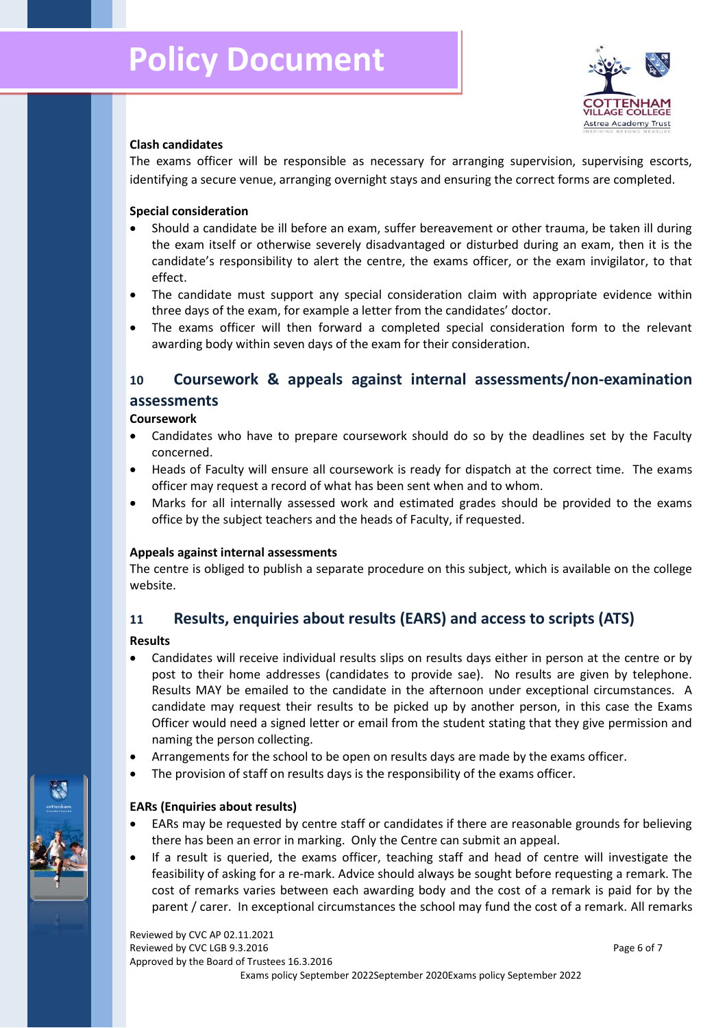

## **Clash candidates**

The exams officer will be responsible as necessary for arranging supervision, supervising escorts, identifying a secure venue, arranging overnight stays and ensuring the correct forms are completed.

## **Special consideration**

- Should a candidate be ill before an exam, suffer bereavement or other trauma, be taken ill during the exam itself or otherwise severely disadvantaged or disturbed during an exam, then it is the candidate's responsibility to alert the centre, the exams officer, or the exam invigilator, to that effect.
- The candidate must support any special consideration claim with appropriate evidence within three days of the exam, for example a letter from the candidates' doctor.
- The exams officer will then forward a completed special consideration form to the relevant awarding body within seven days of the exam for their consideration.

# **10 Coursework & appeals against internal assessments/non-examination assessments**

## **Coursework**

- Candidates who have to prepare coursework should do so by the deadlines set by the Faculty concerned.
- Heads of Faculty will ensure all coursework is ready for dispatch at the correct time. The exams officer may request a record of what has been sent when and to whom.
- Marks for all internally assessed work and estimated grades should be provided to the exams office by the subject teachers and the heads of Faculty, if requested.

## **Appeals against internal assessments**

The centre is obliged to publish a separate procedure on this subject, which is available on the college website.

## **11 Results, enquiries about results (EARS) and access to scripts (ATS)**

## **Results**

- Candidates will receive individual results slips on results days either in person at the centre or by post to their home addresses (candidates to provide sae). No results are given by telephone. Results MAY be emailed to the candidate in the afternoon under exceptional circumstances. A candidate may request their results to be picked up by another person, in this case the Exams Officer would need a signed letter or email from the student stating that they give permission and naming the person collecting.
- Arrangements for the school to be open on results days are made by the exams officer.
- The provision of staff on results days is the responsibility of the exams officer.

## **EARs (Enquiries about results)**

- EARs may be requested by centre staff or candidates if there are reasonable grounds for believing there has been an error in marking. Only the Centre can submit an appeal.
- If a result is queried, the exams officer, teaching staff and head of centre will investigate the feasibility of asking for a re-mark. Advice should always be sought before requesting a remark. The cost of remarks varies between each awarding body and the cost of a remark is paid for by the parent / carer. In exceptional circumstances the school may fund the cost of a remark. All remarks